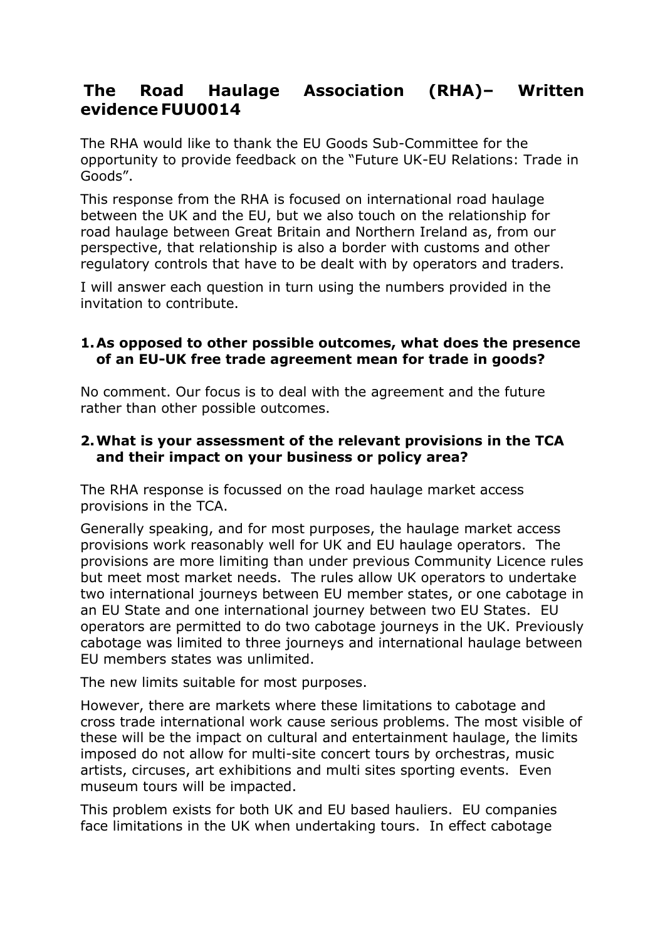# **The Road Haulage Association (RHA)– Written evidence FUU0014**

The RHA would like to thank the EU Goods Sub-Committee for the opportunity to provide feedback on the "Future UK-EU Relations: Trade in Goods".

This response from the RHA is focused on international road haulage between the UK and the EU, but we also touch on the relationship for road haulage between Great Britain and Northern Ireland as, from our perspective, that relationship is also a border with customs and other regulatory controls that have to be dealt with by operators and traders.

I will answer each question in turn using the numbers provided in the invitation to contribute.

# **1.As opposed to other possible outcomes, what does the presence of an EU-UK free trade agreement mean for trade in goods?**

No comment. Our focus is to deal with the agreement and the future rather than other possible outcomes.

# **2.What is your assessment of the relevant provisions in the TCA and their impact on your business or policy area?**

The RHA response is focussed on the road haulage market access provisions in the TCA.

Generally speaking, and for most purposes, the haulage market access provisions work reasonably well for UK and EU haulage operators. The provisions are more limiting than under previous Community Licence rules but meet most market needs. The rules allow UK operators to undertake two international journeys between EU member states, or one cabotage in an EU State and one international journey between two EU States. EU operators are permitted to do two cabotage journeys in the UK. Previously cabotage was limited to three journeys and international haulage between EU members states was unlimited.

The new limits suitable for most purposes.

However, there are markets where these limitations to cabotage and cross trade international work cause serious problems. The most visible of these will be the impact on cultural and entertainment haulage, the limits imposed do not allow for multi-site concert tours by orchestras, music artists, circuses, art exhibitions and multi sites sporting events. Even museum tours will be impacted.

This problem exists for both UK and EU based hauliers. EU companies face limitations in the UK when undertaking tours. In effect cabotage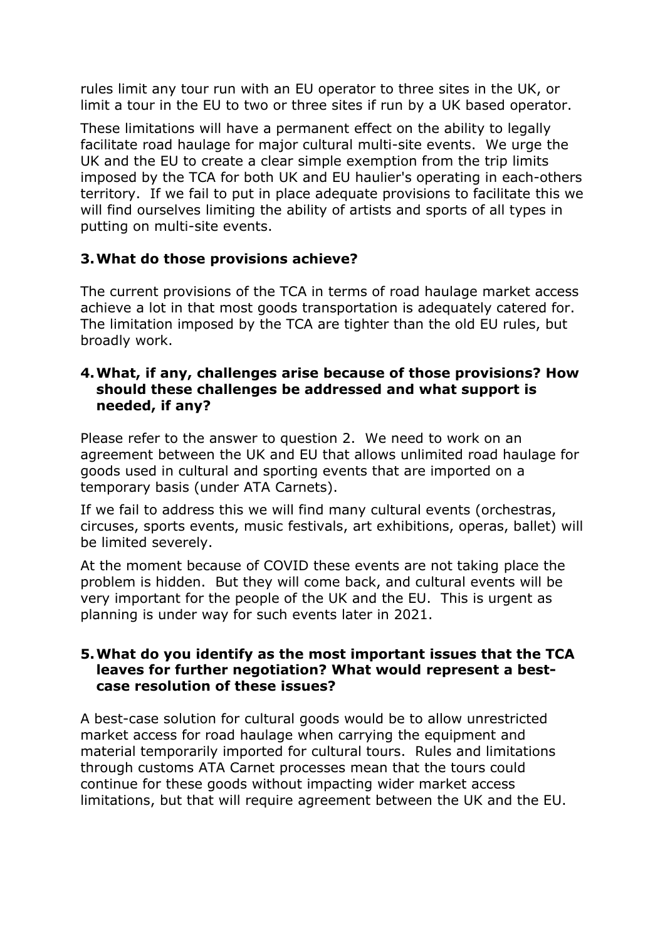rules limit any tour run with an EU operator to three sites in the UK, or limit a tour in the EU to two or three sites if run by a UK based operator.

These limitations will have a permanent effect on the ability to legally facilitate road haulage for major cultural multi-site events. We urge the UK and the EU to create a clear simple exemption from the trip limits imposed by the TCA for both UK and EU haulier's operating in each-others territory. If we fail to put in place adequate provisions to facilitate this we will find ourselves limiting the ability of artists and sports of all types in putting on multi-site events.

# **3.What do those provisions achieve?**

The current provisions of the TCA in terms of road haulage market access achieve a lot in that most goods transportation is adequately catered for. The limitation imposed by the TCA are tighter than the old EU rules, but broadly work.

#### **4.What, if any, challenges arise because of those provisions? How should these challenges be addressed and what support is needed, if any?**

Please refer to the answer to question 2. We need to work on an agreement between the UK and EU that allows unlimited road haulage for goods used in cultural and sporting events that are imported on a temporary basis (under ATA Carnets).

If we fail to address this we will find many cultural events (orchestras, circuses, sports events, music festivals, art exhibitions, operas, ballet) will be limited severely.

At the moment because of COVID these events are not taking place the problem is hidden. But they will come back, and cultural events will be very important for the people of the UK and the EU. This is urgent as planning is under way for such events later in 2021.

### **5.What do you identify as the most important issues that the TCA leaves for further negotiation? What would represent a bestcase resolution of these issues?**

A best-case solution for cultural goods would be to allow unrestricted market access for road haulage when carrying the equipment and material temporarily imported for cultural tours. Rules and limitations through customs ATA Carnet processes mean that the tours could continue for these goods without impacting wider market access limitations, but that will require agreement between the UK and the EU.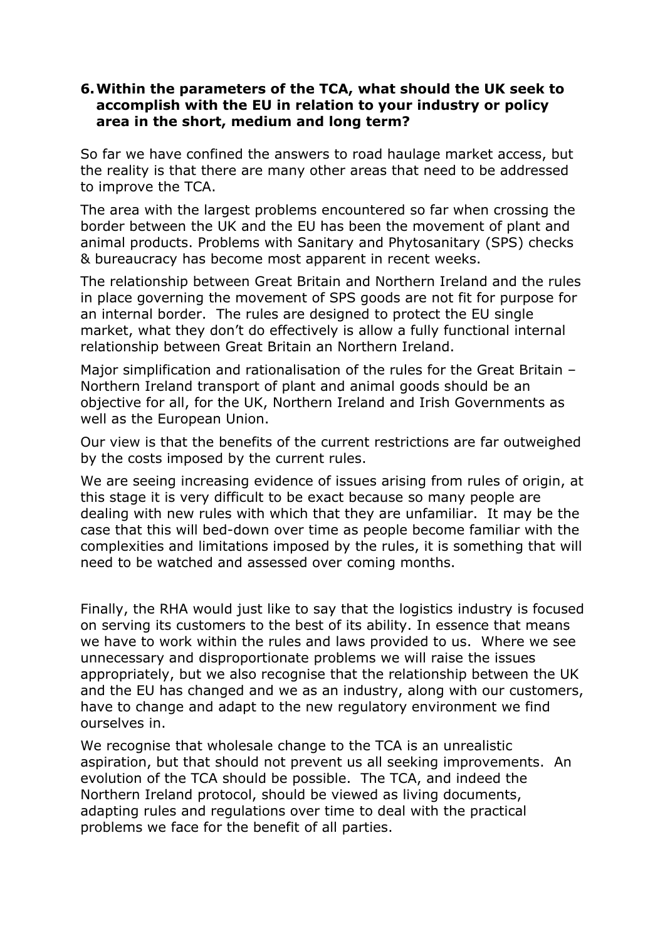### **6.Within the parameters of the TCA, what should the UK seek to accomplish with the EU in relation to your industry or policy area in the short, medium and long term?**

So far we have confined the answers to road haulage market access, but the reality is that there are many other areas that need to be addressed to improve the TCA.

The area with the largest problems encountered so far when crossing the border between the UK and the EU has been the movement of plant and animal products. Problems with Sanitary and Phytosanitary (SPS) checks & bureaucracy has become most apparent in recent weeks.

The relationship between Great Britain and Northern Ireland and the rules in place governing the movement of SPS goods are not fit for purpose for an internal border. The rules are designed to protect the EU single market, what they don't do effectively is allow a fully functional internal relationship between Great Britain an Northern Ireland.

Major simplification and rationalisation of the rules for the Great Britain -Northern Ireland transport of plant and animal goods should be an objective for all, for the UK, Northern Ireland and Irish Governments as well as the European Union.

Our view is that the benefits of the current restrictions are far outweighed by the costs imposed by the current rules.

We are seeing increasing evidence of issues arising from rules of origin, at this stage it is very difficult to be exact because so many people are dealing with new rules with which that they are unfamiliar. It may be the case that this will bed-down over time as people become familiar with the complexities and limitations imposed by the rules, it is something that will need to be watched and assessed over coming months.

Finally, the RHA would just like to say that the logistics industry is focused on serving its customers to the best of its ability. In essence that means we have to work within the rules and laws provided to us. Where we see unnecessary and disproportionate problems we will raise the issues appropriately, but we also recognise that the relationship between the UK and the EU has changed and we as an industry, along with our customers, have to change and adapt to the new regulatory environment we find ourselves in.

We recognise that wholesale change to the TCA is an unrealistic aspiration, but that should not prevent us all seeking improvements. An evolution of the TCA should be possible. The TCA, and indeed the Northern Ireland protocol, should be viewed as living documents, adapting rules and regulations over time to deal with the practical problems we face for the benefit of all parties.